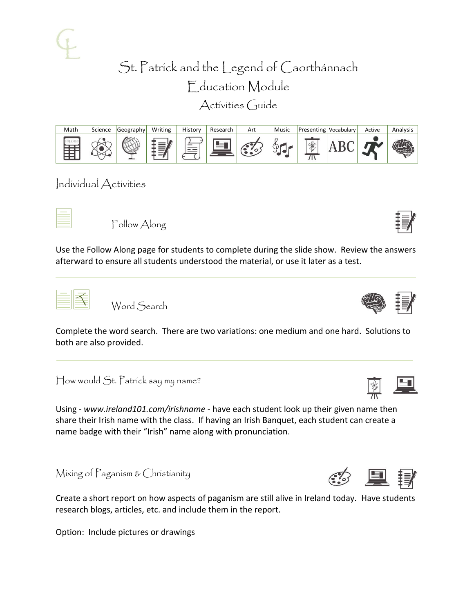Activities Guide



Individual Activities

Follow Along

Use the Follow Along page for students to complete during the slide show. Review the answers afterward to ensure all students understood the material, or use it later as a test.



Word Search

Complete the word search. There are two variations: one medium and one hard. Solutions to both are also provided.

How would St. Patrick say my name?

Using - *www.ireland101.com/irishname* - have each student look up their given name then share their Irish name with the class. If having an Irish Banquet, each student can create a name badge with their "Irish" name along with pronunciation.

Mixing of Paganism & Christianity

Create a short report on how aspects of paganism are still alive in Ireland today. Have students research blogs, articles, etc. and include them in the report.

Option: Include pictures or drawings





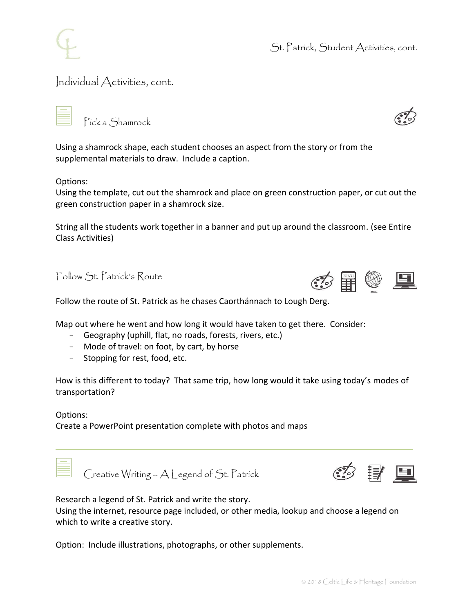

St. Patrick, Student Activities, cont.

### Individual Activities, cont.

Pick a Shamrock

Using a shamrock shape, each student chooses an aspect from the story or from the supplemental materials to draw. Include a caption.

Options:

Using the template, cut out the shamrock and place on green construction paper, or cut out the green construction paper in a shamrock size.

String all the students work together in a banner and put up around the classroom. (see Entire Class Activities)

Follow St. Patrick's Route



Follow the route of St. Patrick as he chases Caorthánnach to Lough Derg.

Map out where he went and how long it would have taken to get there. Consider:

- Geography (uphill, flat, no roads, forests, rivers, etc.)
- Mode of travel: on foot, by cart, by horse
- Stopping for rest, food, etc.

How is this different to today? That same trip, how long would it take using today's modes of transportation?

Options:

Create a PowerPoint presentation complete with photos and maps



Creative Writing – A Legend of St. Patrick



Research a legend of St. Patrick and write the story.

Using the internet, resource page included, or other media, lookup and choose a legend on which to write a creative story.

Option: Include illustrations, photographs, or other supplements.

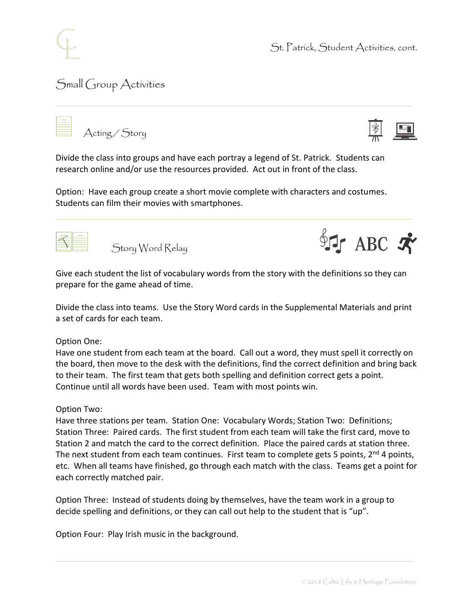

# Small Group Activities





Divide the class into groups and have each portray a legend of St. Patrick. Students can research online and/or use the resources provided. Act out in front of the class.

Option: Have each group create a short movie complete with characters and costumes. Students can film their movies with smartphones.

Story Word Relay



Give each student the list of vocabulary words from the story with the definitions so they can prepare for the game ahead of time.

Divide the class into teams. Use the Story Word cards in the Supplemental Materials and print a set of cards for each team.

#### Option One:

Have one student from each team at the board. Call out a word, they must spell it correctly on the board, then move to the desk with the definitions, find the correct definition and bring back to their team. The first team that gets both spelling and definition correct gets a point. Continue until all words have been used. Team with most points win.

#### Option Two:

Have three stations per team. Station One: Vocabulary Words; Station Two: Definitions; Station Three: Paired cards. The first student from each team will take the first card, move to Station 2 and match the card to the correct definition. Place the paired cards at station three. The next student from each team continues. First team to complete gets 5 points,  $2^{nd}$  4 points, etc. When all teams have finished, go through each match with the class. Teams get a point for each correctly matched pair.

Option Three: Instead of students doing by themselves, have the team work in a group to decide spelling and definitions, or they can call out help to the student that is "up".

Option Four: Play Irish music in the background.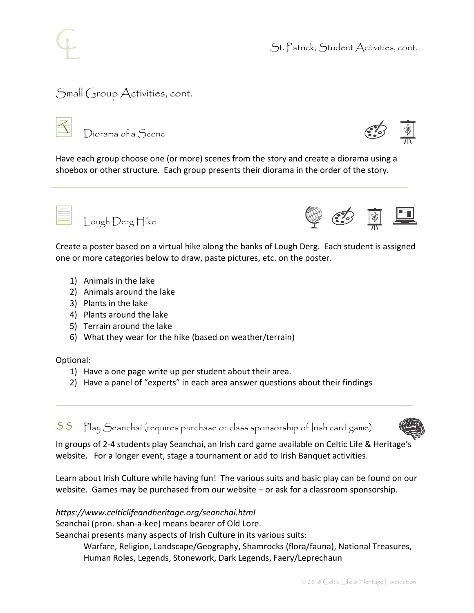### Small Group Activities, cont.



Diorama of a Scene



Have each group choose one (or more) scenes from the story and create a diorama using a shoebox or other structure. Each group presents their diorama in the order of the story.



Lough Derg Hike



Create a poster based on a virtual hike along the banks of Lough Derg. Each student is assigned one or more categories below to draw, paste pictures, etc. on the poster.

- 1) Animals in the lake
- 2) Animals around the lake
- 3) Plants in the lake
- 4) Plants around the lake
- 5) Terrain around the lake
- 6) What they wear for the hike (based on weather/terrain)

Optional:

- 1) Have a one page write up per student about their area.
- 2) Have a panel of "experts" in each area answer questions about their findings

 $$\$$   $\:$   $\mathbb{P}\mathrm{I}$ ay Seanchaí (requires purchase or class sponsorship of [rish card game)



In groups of 2-4 students play Seanchaí, an Irish card game available on Celtic Life & Heritage's website. For a longer event, stage a tournament or add to Irish Banquet activities.

Learn about Irish Culture while having fun! The various suits and basic play can be found on our website. Games may be purchased from our website – or ask for a classroom sponsorship.

### *https://www.celticlifeandheritage.org/seanchai.html*

Seanchaí (pron. shan-a-kee) means bearer of Old Lore.

Seanchaí presents many aspects of Irish Culture in its various suits:

Warfare, Religion, Landscape/Geography, Shamrocks (flora/fauna), National Treasures, Human Roles, Legends, Stonework, Dark Legends, Faery/Leprechaun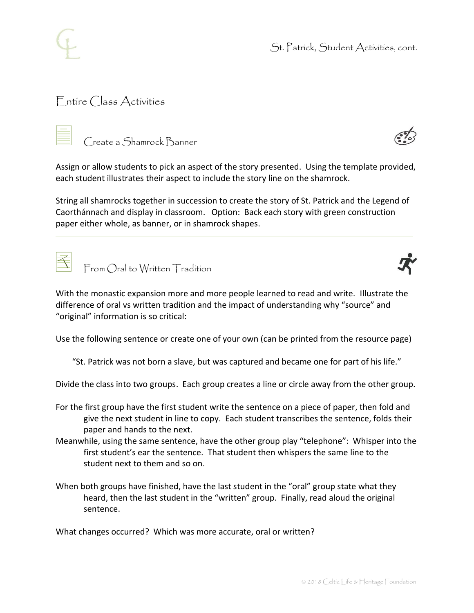

## Entire Class Activities

Create a Shamrock Banner



Assign or allow students to pick an aspect of the story presented. Using the template provided, each student illustrates their aspect to include the story line on the shamrock.

String all shamrocks together in succession to create the story of St. Patrick and the Legend of Caorthánnach and display in classroom. Option: Back each story with green construction paper either whole, as banner, or in shamrock shapes.



From Oral to Written Tradition



With the monastic expansion more and more people learned to read and write. Illustrate the difference of oral vs written tradition and the impact of understanding why "source" and "original" information is so critical:

Use the following sentence or create one of your own (can be printed from the resource page)

"St. Patrick was not born a slave, but was captured and became one for part of his life."

Divide the class into two groups. Each group creates a line or circle away from the other group.

- For the first group have the first student write the sentence on a piece of paper, then fold and give the next student in line to copy. Each student transcribes the sentence, folds their paper and hands to the next.
- Meanwhile, using the same sentence, have the other group play "telephone": Whisper into the first student's ear the sentence. That student then whispers the same line to the student next to them and so on.
- When both groups have finished, have the last student in the "oral" group state what they heard, then the last student in the "written" group. Finally, read aloud the original sentence.

What changes occurred? Which was more accurate, oral or written?